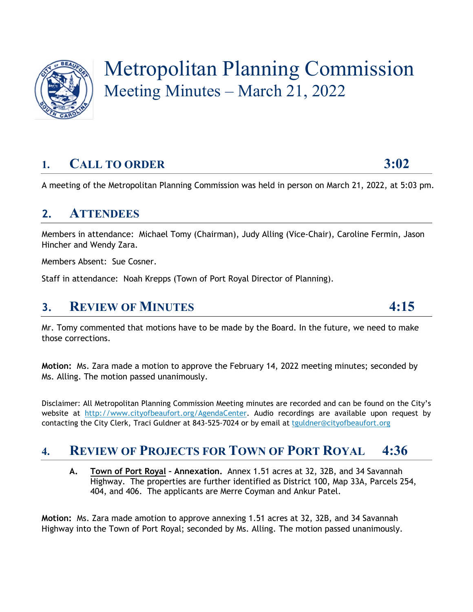

# Metropolitan Planning Commission Meeting Minutes – March 21, 2022

# **1. CALL TO ORDER 3:02**

A meeting of the Metropolitan Planning Commission was held in person on March 21, 2022, at 5:03 pm.

#### **2. ATTENDEES**

Members in attendance: Michael Tomy (Chairman), Judy Alling (Vice-Chair), Caroline Fermin, Jason Hincher and Wendy Zara.

Members Absent: Sue Cosner.

Staff in attendance: Noah Krepps (Town of Port Royal Director of Planning).

#### **3. REVIEW OF MINUTES 4:15**

Mr. Tomy commented that motions have to be made by the Board. In the future, we need to make those corrections.

**Motion:** Ms. Zara made a motion to approve the February 14, 2022 meeting minutes; seconded by Ms. Alling. The motion passed unanimously.

Disclaimer: All Metropolitan Planning Commission Meeting minutes are recorded and can be found on the City's website at [http://www.cityofbeaufort.org/AgendaCenter.](http://www.cityofbeaufort.org/AgendaCenter) Audio recordings are available upon request by contacting the City Clerk, Traci Guldner at 843-525-7024 or by email at [tguldner@cityofbeaufort.org](mailto:tguldner@cityofbeaufort.org)

### **4. REVIEW OF PROJECTS FOR TOWN OF PORT ROYAL 4:36**

**A. Town of Port Royal – Annexation.** Annex 1.51 acres at 32, 32B, and 34 Savannah Highway. The properties are further identified as District 100, Map 33A, Parcels 254, 404, and 406. The applicants are Merre Coyman and Ankur Patel.

**Motion:** Ms. Zara made amotion to approve annexing 1.51 acres at 32, 32B, and 34 Savannah Highway into the Town of Port Royal; seconded by Ms. Alling. The motion passed unanimously.